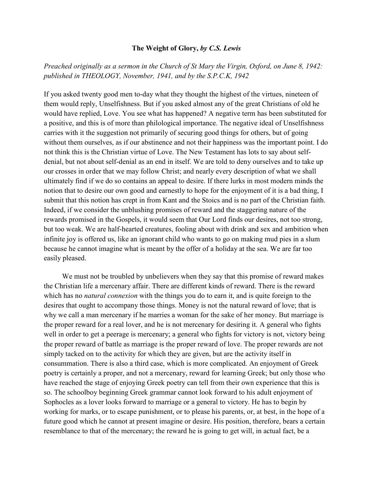## **The Weight of Glory,** *by C.S. Lewis*

## *Preached originally as a sermon in the Church of St Mary the Virgin, Oxford, on June 8, 1942: published in THEOLOGY, November, 1941, and by the S.P.C.K, 1942*

If you asked twenty good men to-day what they thought the highest of the virtues, nineteen of them would reply, Unselfishness. But if you asked almost any of the great Christians of old he would have replied, Love. You see what has happened? A negative term has been substituted for a positive, and this is of more than philological importance. The negative ideal of Unselfishness carries with it the suggestion not primarily of securing good things for others, but of going without them ourselves, as if our abstinence and not their happiness was the important point. I do not think this is the Christian virtue of Love. The New Testament has lots to say about selfdenial, but not about self-denial as an end in itself. We are told to deny ourselves and to take up our crosses in order that we may follow Christ; and nearly every description of what we shall ultimately find if we do so contains an appeal to desire. If there lurks in most modern minds the notion that to desire our own good and earnestly to hope for the enjoyment of it is a bad thing, I submit that this notion has crept in from Kant and the Stoics and is no part of the Christian faith. Indeed, if we consider the unblushing promises of reward and the staggering nature of the rewards promised in the Gospels, it would seem that Our Lord finds our desires, not too strong, but too weak. We are half-hearted creatures, fooling about with drink and sex and ambition when infinite joy is offered us, like an ignorant child who wants to go on making mud pies in a slum because he cannot imagine what is meant by the offer of a holiday at the sea. We are far too easily pleased.

 We must not be troubled by unbelievers when they say that this promise of reward makes the Christian life a mercenary affair. There are different kinds of reward. There is the reward which has no *natural connexion* with the things you do to earn it, and is quite foreign to the desires that ought to accompany those things. Money is not the natural reward of love; that is why we call a man mercenary if he marries a woman for the sake of her money. But marriage is the proper reward for a real lover, and he is not mercenary for desiring it. A general who fights well in order to get a peerage is mercenary; a general who fights for victory is not, victory being the proper reward of battle as marriage is the proper reward of love. The proper rewards are not simply tacked on to the activity for which they are given, but are the activity itself in consummation. There is also a third case, which is more complicated. An enjoyment of Greek poetry is certainly a proper, and not a mercenary, reward for learning Greek; but only those who have reached the stage of enjoying Greek poetry can tell from their own experience that this is so. The schoolboy beginning Greek grammar cannot look forward to his adult enjoyment of Sophocles as a lover looks forward to marriage or a general to victory. He has to begin by working for marks, or to escape punishment, or to please his parents, or, at best, in the hope of a future good which he cannot at present imagine or desire. His position, therefore, bears a certain resemblance to that of the mercenary; the reward he is going to get will, in actual fact, be a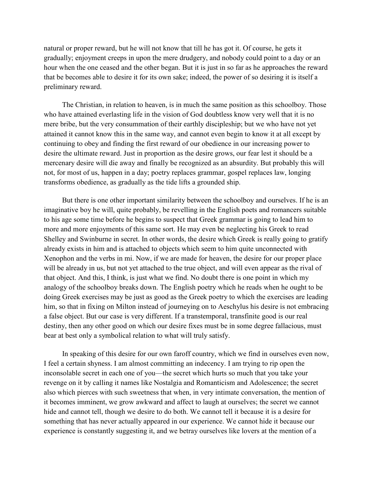natural or proper reward, but he will not know that till he has got it. Of course, he gets it gradually; enjoyment creeps in upon the mere drudgery, and nobody could point to a day or an hour when the one ceased and the other began. But it is just in so far as he approaches the reward that be becomes able to desire it for its own sake; indeed, the power of so desiring it is itself a preliminary reward.

 The Christian, in relation to heaven, is in much the same position as this schoolboy. Those who have attained everlasting life in the vision of God doubtless know very well that it is no mere bribe, but the very consummation of their earthly discipleship; but we who have not yet attained it cannot know this in the same way, and cannot even begin to know it at all except by continuing to obey and finding the first reward of our obedience in our increasing power to desire the ultimate reward. Just in proportion as the desire grows, our fear lest it should be a mercenary desire will die away and finally be recognized as an absurdity. But probably this will not, for most of us, happen in a day; poetry replaces grammar, gospel replaces law, longing transforms obedience, as gradually as the tide lifts a grounded ship.

 But there is one other important similarity between the schoolboy and ourselves. If he is an imaginative boy he will, quite probably, be revelling in the English poets and romancers suitable to his age some time before he begins to suspect that Greek grammar is going to lead him to more and more enjoyments of this same sort. He may even be neglecting his Greek to read Shelley and Swinburne in secret. In other words, the desire which Greek is really going to gratify already exists in him and is attached to objects which seem to him quite unconnected with Xenophon and the verbs in mi. Now, if we are made for heaven, the desire for our proper place will be already in us, but not yet attached to the true object, and will even appear as the rival of that object. And this, I think, is just what we find. No doubt there is one point in which my analogy of the schoolboy breaks down. The English poetry which he reads when he ought to be doing Greek exercises may be just as good as the Greek poetry to which the exercises are leading him, so that in fixing on Milton instead of journeying on to Aeschylus his desire is not embracing a false object. But our case is very different. If a transtemporal, transfinite good is our real destiny, then any other good on which our desire fixes must be in some degree fallacious, must bear at best only a symbolical relation to what will truly satisfy.

 In speaking of this desire for our own faroff country, which we find in ourselves even now, I feel a certain shyness. I am almost committing an indecency. I am trying to rip open the inconsolable secret in each one of you—the secret which hurts so much that you take your revenge on it by calling it names like Nostalgia and Romanticism and Adolescence; the secret also which pierces with such sweetness that when, in very intimate conversation, the mention of it becomes imminent, we grow awkward and affect to laugh at ourselves; the secret we cannot hide and cannot tell, though we desire to do both. We cannot tell it because it is a desire for something that has never actually appeared in our experience. We cannot hide it because our experience is constantly suggesting it, and we betray ourselves like lovers at the mention of a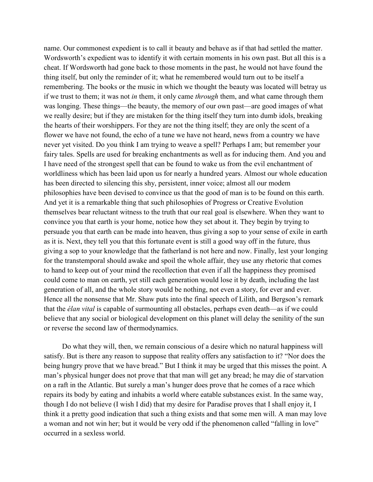name. Our commonest expedient is to call it beauty and behave as if that had settled the matter. Wordsworth's expedient was to identify it with certain moments in his own past. But all this is a cheat. If Wordsworth had gone back to those moments in the past, he would not have found the thing itself, but only the reminder of it; what he remembered would turn out to be itself a remembering. The books or the music in which we thought the beauty was located will betray us if we trust to them; it was not *in* them, it only came *through* them, and what came through them was longing. These things—the beauty, the memory of our own past—are good images of what we really desire; but if they are mistaken for the thing itself they turn into dumb idols, breaking the hearts of their worshippers. For they are not the thing itself; they are only the scent of a flower we have not found, the echo of a tune we have not heard, news from a country we have never yet visited. Do you think I am trying to weave a spell? Perhaps I am; but remember your fairy tales. Spells are used for breaking enchantments as well as for inducing them. And you and I have need of the strongest spell that can be found to wake us from the evil enchantment of worldliness which has been laid upon us for nearly a hundred years. Almost our whole education has been directed to silencing this shy, persistent, inner voice; almost all our modem philosophies have been devised to convince us that the good of man is to be found on this earth. And yet it is a remarkable thing that such philosophies of Progress or Creative Evolution themselves bear reluctant witness to the truth that our real goal is elsewhere. When they want to convince you that earth is your home, notice how they set about it. They begin by trying to persuade you that earth can be made into heaven, thus giving a sop to your sense of exile in earth as it is. Next, they tell you that this fortunate event is still a good way off in the future, thus giving a sop to your knowledge that the fatherland is not here and now. Finally, lest your longing for the transtemporal should awake and spoil the whole affair, they use any rhetoric that comes to hand to keep out of your mind the recollection that even if all the happiness they promised could come to man on earth, yet still each generation would lose it by death, including the last generation of all, and the whole story would be nothing, not even a story, for ever and ever. Hence all the nonsense that Mr. Shaw puts into the final speech of Lilith, and Bergson's remark that the *élan vital* is capable of surmounting all obstacles, perhaps even death—as if we could believe that any social or biological development on this planet will delay the senility of the sun or reverse the second law of thermodynamics.

 Do what they will, then, we remain conscious of a desire which no natural happiness will satisfy. But is there any reason to suppose that reality offers any satisfaction to it? "Nor does the being hungry prove that we have bread." But I think it may be urged that this misses the point. A man's physical hunger does not prove that that man will get any bread; he may die of starvation on a raft in the Atlantic. But surely a man's hunger does prove that he comes of a race which repairs its body by eating and inhabits a world where eatable substances exist. In the same way, though I do not believe (I wish I did) that my desire for Paradise proves that I shall enjoy it, I think it a pretty good indication that such a thing exists and that some men will. A man may love a woman and not win her; but it would be very odd if the phenomenon called "falling in love" occurred in a sexless world.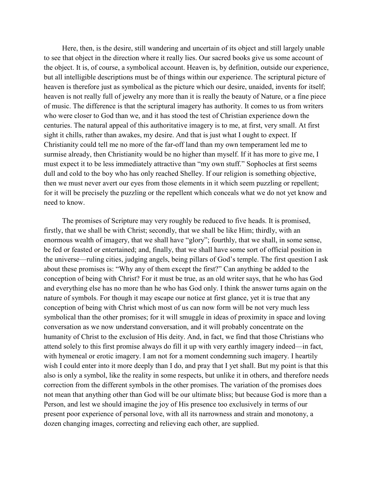Here, then, is the desire, still wandering and uncertain of its object and still largely unable to see that object in the direction where it really lies. Our sacred books give us some account of the object. It is, of course, a symbolical account. Heaven is, by definition, outside our experience, but all intelligible descriptions must be of things within our experience. The scriptural picture of heaven is therefore just as symbolical as the picture which our desire, unaided, invents for itself; heaven is not really full of jewelry any more than it is really the beauty of Nature, or a fine piece of music. The difference is that the scriptural imagery has authority. It comes to us from writers who were closer to God than we, and it has stood the test of Christian experience down the centuries. The natural appeal of this authoritative imagery is to me, at first, very small. At first sight it chills, rather than awakes, my desire. And that is just what I ought to expect. If Christianity could tell me no more of the far-off land than my own temperament led me to surmise already, then Christianity would be no higher than myself. If it has more to give me, I must expect it to be less immediately attractive than "my own stuff." Sophocles at first seems dull and cold to the boy who has only reached Shelley. If our religion is something objective, then we must never avert our eyes from those elements in it which seem puzzling or repellent; for it will be precisely the puzzling or the repellent which conceals what we do not yet know and need to know.

 The promises of Scripture may very roughly be reduced to five heads. It is promised, firstly, that we shall be with Christ; secondly, that we shall be like Him; thirdly, with an enormous wealth of imagery, that we shall have "glory"; fourthly, that we shall, in some sense, be fed or feasted or entertained; and, finally, that we shall have some sort of official position in the universe—ruling cities, judging angels, being pillars of God's temple. The first question I ask about these promises is: "Why any of them except the first?" Can anything be added to the conception of being with Christ? For it must be true, as an old writer says, that he who has God and everything else has no more than he who has God only. I think the answer turns again on the nature of symbols. For though it may escape our notice at first glance, yet it is true that any conception of being with Christ which most of us can now form will be not very much less symbolical than the other promises; for it will smuggle in ideas of proximity in space and loving conversation as we now understand conversation, and it will probably concentrate on the humanity of Christ to the exclusion of His deity. And, in fact, we find that those Christians who attend solely to this first promise always do fill it up with very earthly imagery indeed—in fact, with hymeneal or erotic imagery. I am not for a moment condemning such imagery. I heartily wish I could enter into it more deeply than I do, and pray that I yet shall. But my point is that this also is only a symbol, like the reality in some respects, but unlike it in others, and therefore needs correction from the different symbols in the other promises. The variation of the promises does not mean that anything other than God will be our ultimate bliss; but because God is more than a Person, and lest we should imagine the joy of His presence too exclusively in terms of our present poor experience of personal love, with all its narrowness and strain and monotony, a dozen changing images, correcting and relieving each other, are supplied.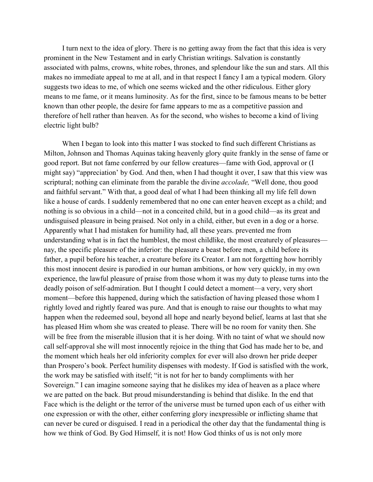I turn next to the idea of glory. There is no getting away from the fact that this idea is very prominent in the New Testament and in early Christian writings. Salvation is constantly associated with palms, crowns, white robes, thrones, and splendour like the sun and stars. All this makes no immediate appeal to me at all, and in that respect I fancy I am a typical modern. Glory suggests two ideas to me, of which one seems wicked and the other ridiculous. Either glory means to me fame, or it means luminosity. As for the first, since to be famous means to be better known than other people, the desire for fame appears to me as a competitive passion and therefore of hell rather than heaven. As for the second, who wishes to become a kind of living electric light bulb?

 When I began to look into this matter I was stocked to find such different Christians as Milton, Johnson and Thomas Aquinas taking heavenly glory quite frankly in the sense of fame or good report. But not fame conferred by our fellow creatures—fame with God, approval or (I might say) "appreciation' by God. And then, when I had thought it over, I saw that this view was scriptural; nothing can eliminate from the parable the divine *accolade,* "Well done, thou good and faithful servant." With that, a good deal of what I had been thinking all my life fell down like a house of cards. I suddenly remembered that no one can enter heaven except as a child; and nothing is so obvious in a child—not in a conceited child, but in a good child—as its great and undisguised pleasure in being praised. Not only in a child, either, but even in a dog or a horse. Apparently what I had mistaken for humility had, all these years. prevented me from understanding what is in fact the humblest, the most childlike, the most creaturely of pleasures nay, the specific pleasure of the inferior: the pleasure a beast before men, a child before its father, a pupil before his teacher, a creature before its Creator. I am not forgetting how horribly this most innocent desire is parodied in our human ambitions, or how very quickly, in my own experience, the lawful pleasure of praise from those whom it was my duty to please turns into the deadly poison of self-admiration. But I thought I could detect a moment—a very, very short moment—before this happened, during which the satisfaction of having pleased those whom I rightly loved and rightly feared was pure. And that is enough to raise our thoughts to what may happen when the redeemed soul, beyond all hope and nearly beyond belief, learns at last that she has pleased Him whom she was created to please. There will be no room for vanity then. She will be free from the miserable illusion that it is her doing. With no taint of what we should now call self-approval she will most innocently rejoice in the thing that God has made her to be, and the moment which heals her old inferiority complex for ever will also drown her pride deeper than Prospero's book. Perfect humility dispenses with modesty. If God is satisfied with the work, the work may be satisfied with itself; "it is not for her to bandy compliments with her Sovereign." I can imagine someone saying that he dislikes my idea of heaven as a place where we are patted on the back. But proud misunderstanding is behind that dislike. In the end that Face which is the delight or the terror of the universe must be turned upon each of us either with one expression or with the other, either conferring glory inexpressible or inflicting shame that can never be cured or disguised. I read in a periodical the other day that the fundamental thing is how we think of God. By God Himself, it is not! How God thinks of us is not only more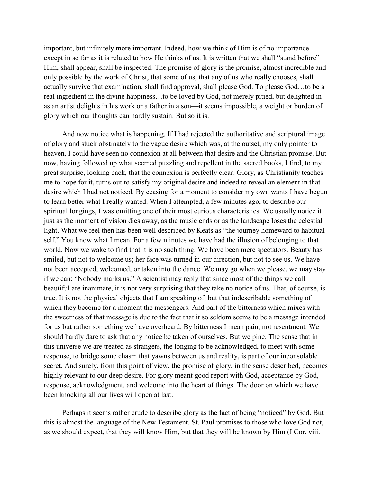important, but infinitely more important. Indeed, how we think of Him is of no importance except in so far as it is related to how He thinks of us. It is written that we shall "stand before" Him, shall appear, shall be inspected. The promise of glory is the promise, almost incredible and only possible by the work of Christ, that some of us, that any of us who really chooses, shall actually survive that examination, shall find approval, shall please God. To please God…to be a real ingredient in the divine happiness…to be loved by God, not merely pitied, but delighted in as an artist delights in his work or a father in a son—it seems impossible, a weight or burden of glory which our thoughts can hardly sustain. But so it is.

 And now notice what is happening. If I had rejected the authoritative and scriptural image of glory and stuck obstinately to the vague desire which was, at the outset, my only pointer to heaven, I could have seen no connexion at all between that desire and the Christian promise. But now, having followed up what seemed puzzling and repellent in the sacred books, I find, to my great surprise, looking back, that the connexion is perfectly clear. Glory, as Christianity teaches me to hope for it, turns out to satisfy my original desire and indeed to reveal an element in that desire which I had not noticed. By ceasing for a moment to consider my own wants I have begun to learn better what I really wanted. When I attempted, a few minutes ago, to describe our spiritual longings, I was omitting one of their most curious characteristics. We usually notice it just as the moment of vision dies away, as the music ends or as the landscape loses the celestial light. What we feel then has been well described by Keats as "the journey homeward to habitual self." You know what I mean. For a few minutes we have had the illusion of belonging to that world. Now we wake to find that it is no such thing. We have been mere spectators. Beauty has smiled, but not to welcome us; her face was turned in our direction, but not to see us. We have not been accepted, welcomed, or taken into the dance. We may go when we please, we may stay if we can: "Nobody marks us." A scientist may reply that since most of the things we call beautiful are inanimate, it is not very surprising that they take no notice of us. That, of course, is true. It is not the physical objects that I am speaking of, but that indescribable something of which they become for a moment the messengers. And part of the bitterness which mixes with the sweetness of that message is due to the fact that it so seldom seems to be a message intended for us but rather something we have overheard. By bitterness I mean pain, not resentment. We should hardly dare to ask that any notice be taken of ourselves. But we pine. The sense that in this universe we are treated as strangers, the longing to be acknowledged, to meet with some response, to bridge some chasm that yawns between us and reality, is part of our inconsolable secret. And surely, from this point of view, the promise of glory, in the sense described, becomes highly relevant to our deep desire. For glory meant good report with God, acceptance by God, response, acknowledgment, and welcome into the heart of things. The door on which we have been knocking all our lives will open at last.

 Perhaps it seems rather crude to describe glory as the fact of being "noticed" by God. But this is almost the language of the New Testament. St. Paul promises to those who love God not, as we should expect, that they will know Him, but that they will be known by Him (I Cor. viii.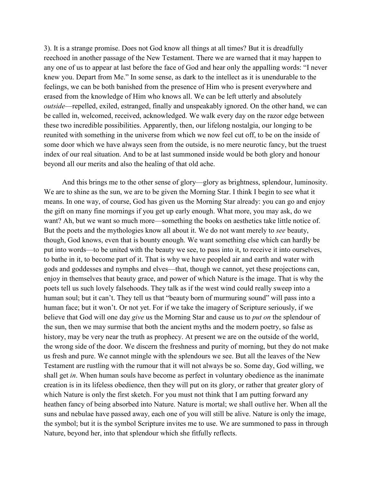3). It is a strange promise. Does not God know all things at all times? But it is dreadfully reechoed in another passage of the New Testament. There we are warned that it may happen to any one of us to appear at last before the face of God and hear only the appalling words: "I never knew you. Depart from Me." In some sense, as dark to the intellect as it is unendurable to the feelings, we can be both banished from the presence of Him who is present everywhere and erased from the knowledge of Him who knows all. We can be left utterly and absolutely *outside*—repelled, exiled, estranged, finally and unspeakably ignored. On the other hand, we can be called in, welcomed, received, acknowledged. We walk every day on the razor edge between these two incredible possibilities. Apparently, then, our lifelong nostalgia, our longing to be reunited with something in the universe from which we now feel cut off, to be on the inside of some door which we have always seen from the outside, is no mere neurotic fancy, but the truest index of our real situation. And to be at last summoned inside would be both glory and honour beyond all our merits and also the healing of that old ache.

 And this brings me to the other sense of glory—glory as brightness, splendour, luminosity. We are to shine as the sun, we are to be given the Morning Star. I think I begin to see what it means. In one way, of course, God has given us the Morning Star already: you can go and enjoy the gift on many fine mornings if you get up early enough. What more, you may ask, do we want? Ah, but we want so much more—something the books on aesthetics take little notice of. But the poets and the mythologies know all about it. We do not want merely to *see* beauty, though, God knows, even that is bounty enough. We want something else which can hardly be put into words—to be united with the beauty we see, to pass into it, to receive it into ourselves, to bathe in it, to become part of it. That is why we have peopled air and earth and water with gods and goddesses and nymphs and elves—that, though we cannot, yet these projections can, enjoy in themselves that beauty grace, and power of which Nature is the image. That is why the poets tell us such lovely falsehoods. They talk as if the west wind could really sweep into a human soul; but it can't. They tell us that "beauty born of murmuring sound" will pass into a human face; but it won't. Or not yet. For if we take the imagery of Scripture seriously, if we believe that God will one day *give* us the Morning Star and cause us to *put on* the splendour of the sun, then we may surmise that both the ancient myths and the modern poetry, so false as history, may be very near the truth as prophecy. At present we are on the outside of the world, the wrong side of the door. We discern the freshness and purity of morning, but they do not make us fresh and pure. We cannot mingle with the splendours we see. But all the leaves of the New Testament are rustling with the rumour that it will not always be so. Some day, God willing, we shall get *in*. When human souls have become as perfect in voluntary obedience as the inanimate creation is in its lifeless obedience, then they will put on its glory, or rather that greater glory of which Nature is only the first sketch. For you must not think that I am putting forward any heathen fancy of being absorbed into Nature. Nature is mortal; we shall outlive her. When all the suns and nebulae have passed away, each one of you will still be alive. Nature is only the image, the symbol; but it is the symbol Scripture invites me to use. We are summoned to pass in through Nature, beyond her, into that splendour which she fitfully reflects.